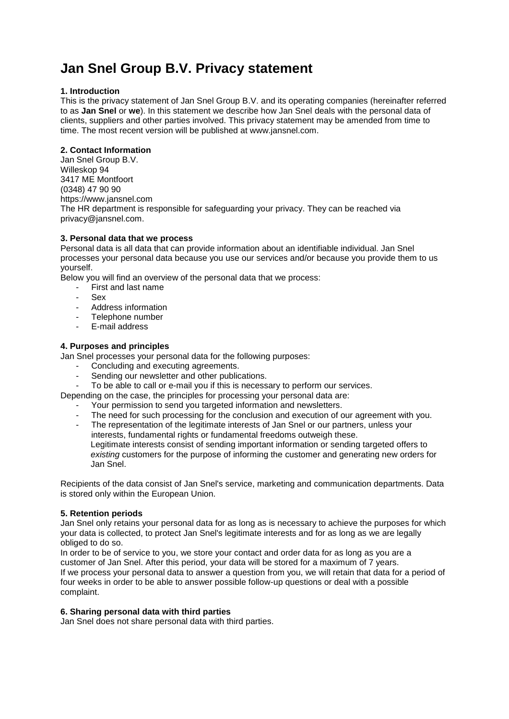# **Jan Snel Group B.V. Privacy statement**

## **1. Introduction**

This is the privacy statement of Jan Snel Group B.V. and its operating companies (hereinafter referred to as **Jan Snel** or **we**). In this statement we describe how Jan Snel deals with the personal data of clients, suppliers and other parties involved. This privacy statement may be amended from time to time. The most recent version will be published at www.jansnel.com.

## **2. Contact Information**

Jan Snel Group B.V. Willeskop 94 3417 ME Montfoort (0348) 47 90 90 https://www.jansnel.com The HR department is responsible for safeguarding your privacy. They can be reached via privacy@jansnel.com.

## **3. Personal data that we process**

Personal data is all data that can provide information about an identifiable individual. Jan Snel processes your personal data because you use our services and/or because you provide them to us yourself.

Below you will find an overview of the personal data that we process:

- First and last name
- Sex
- Address information
- Telephone number
- E-mail address

## **4. Purposes and principles**

Jan Snel processes your personal data for the following purposes:

- Concluding and executing agreements.
- Sending our newsletter and other publications.
- To be able to call or e-mail you if this is necessary to perform our services.
- Depending on the case, the principles for processing your personal data are:
	- Your permission to send you targeted information and newsletters.
	- The need for such processing for the conclusion and execution of our agreement with you.
	- The representation of the legitimate interests of Jan Snel or our partners, unless your interests, fundamental rights or fundamental freedoms outweigh these. Legitimate interests consist of sending important information or sending targeted offers to *existing* customers for the purpose of informing the customer and generating new orders for Jan Snel.

Recipients of the data consist of Jan Snel's service, marketing and communication departments. Data is stored only within the European Union.

## **5. Retention periods**

Jan Snel only retains your personal data for as long as is necessary to achieve the purposes for which your data is collected, to protect Jan Snel's legitimate interests and for as long as we are legally obliged to do so.

In order to be of service to you, we store your contact and order data for as long as you are a customer of Jan Snel. After this period, your data will be stored for a maximum of 7 years. If we process your personal data to answer a question from you, we will retain that data for a period of four weeks in order to be able to answer possible follow-up questions or deal with a possible complaint.

# **6. Sharing personal data with third parties**

Jan Snel does not share personal data with third parties.